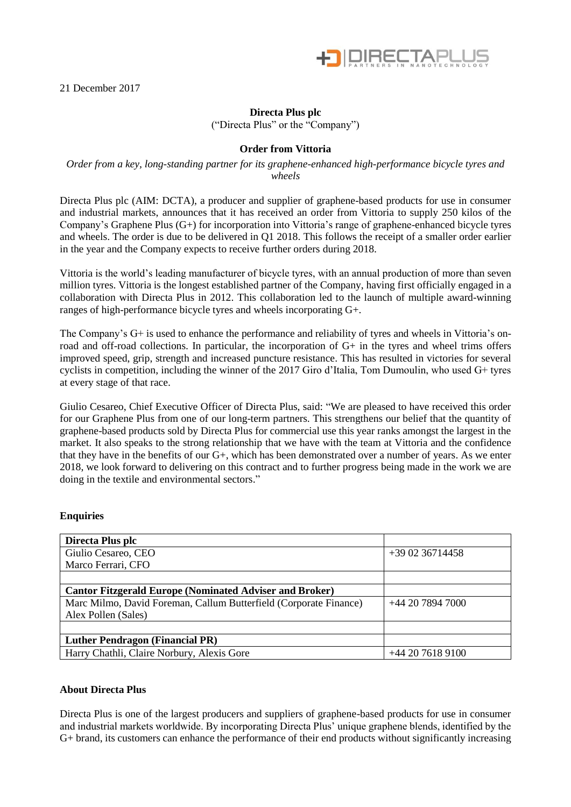

21 December 2017

# **Directa Plus plc**

("Directa Plus" or the "Company")

### **Order from Vittoria**

### *Order from a key, long-standing partner for its graphene-enhanced high-performance bicycle tyres and wheels*

Directa Plus plc (AIM: DCTA), a producer and supplier of graphene-based products for use in consumer and industrial markets, announces that it has received an order from Vittoria to supply 250 kilos of the Company's Graphene Plus (G+) for incorporation into Vittoria's range of graphene-enhanced bicycle tyres and wheels. The order is due to be delivered in Q1 2018. This follows the receipt of a smaller order earlier in the year and the Company expects to receive further orders during 2018.

Vittoria is the world's leading manufacturer of bicycle tyres, with an annual production of more than seven million tyres. Vittoria is the longest established partner of the Company, having first officially engaged in a collaboration with Directa Plus in 2012. This collaboration led to the launch of multiple award-winning ranges of high-performance bicycle tyres and wheels incorporating G+.

The Company's G+ is used to enhance the performance and reliability of tyres and wheels in Vittoria's onroad and off-road collections. In particular, the incorporation of G+ in the tyres and wheel trims offers improved speed, grip, strength and increased puncture resistance. This has resulted in victories for several cyclists in competition, including the winner of the 2017 Giro d'Italia, Tom Dumoulin, who used G+ tyres at every stage of that race.

Giulio Cesareo, Chief Executive Officer of Directa Plus, said: "We are pleased to have received this order for our Graphene Plus from one of our long-term partners. This strengthens our belief that the quantity of graphene-based products sold by Directa Plus for commercial use this year ranks amongst the largest in the market. It also speaks to the strong relationship that we have with the team at Vittoria and the confidence that they have in the benefits of our G+, which has been demonstrated over a number of years. As we enter 2018, we look forward to delivering on this contract and to further progress being made in the work we are doing in the textile and environmental sectors."

## **Enquiries**

| Directa Plus plc                                                  |                  |
|-------------------------------------------------------------------|------------------|
| Giulio Cesareo, CEO                                               | +39 02 36714458  |
| Marco Ferrari, CFO                                                |                  |
|                                                                   |                  |
| <b>Cantor Fitzgerald Europe (Nominated Adviser and Broker)</b>    |                  |
| Marc Milmo, David Foreman, Callum Butterfield (Corporate Finance) | +44 20 7894 7000 |
| Alex Pollen (Sales)                                               |                  |
|                                                                   |                  |
| <b>Luther Pendragon (Financial PR)</b>                            |                  |
| Harry Chathli, Claire Norbury, Alexis Gore                        | +44 20 7618 9100 |

#### **About Directa Plus**

Directa Plus is one of the largest producers and suppliers of graphene-based products for use in consumer and industrial markets worldwide. By incorporating Directa Plus' unique graphene blends, identified by the G+ brand, its customers can enhance the performance of their end products without significantly increasing